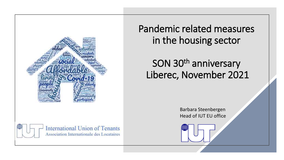

Pandemic related measures in the housing sector

# SON 30<sup>th</sup> anniversary Liberec, November 2021

Barbara Steenbergen Head of IUT EU office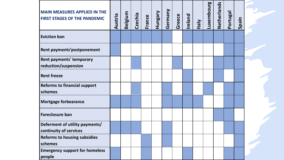| <b>MAIN MEASURES APPLIED IN THE</b><br><b>FIRST STAGES OF THE PANDEMIC</b> | Austria | <b>Belgium</b> | Czechia | France | Hungary | Germany | Greece | Ireland | <b>Vieh</b> | Luxembourg | Netherlands | Portuga | nied<br>$\overline{v}$ |  |
|----------------------------------------------------------------------------|---------|----------------|---------|--------|---------|---------|--------|---------|-------------|------------|-------------|---------|------------------------|--|
| <b>Eviction ban</b>                                                        |         |                |         |        |         |         |        |         |             |            |             |         |                        |  |
| Rent payments' postponement                                                |         |                |         |        |         |         |        |         |             |            |             |         |                        |  |
| Rent payments' temporary<br>reduction/suspension                           |         |                |         |        |         |         |        |         |             |            |             |         |                        |  |
| <b>Rent freeze</b>                                                         |         |                |         |        |         |         |        |         |             |            |             |         |                        |  |
| <b>Reforms to financial support</b><br>schemes                             |         |                |         |        |         |         |        |         |             |            |             |         |                        |  |
| <b>Mortgage forbearance</b>                                                |         |                |         |        |         |         |        |         |             |            |             |         |                        |  |
| <b>Foreclosure ban</b>                                                     |         |                |         |        |         |         |        |         |             |            |             |         |                        |  |
| Deferment of utility payments/<br>continuity of services                   |         |                |         |        |         |         |        |         |             |            |             |         |                        |  |
| <b>Reforms to housing subsidies</b><br>schemes                             |         |                |         |        |         |         |        |         |             |            |             |         |                        |  |
| <b>Emergency support for homeless</b><br>people                            |         |                |         |        |         |         |        |         |             |            |             |         |                        |  |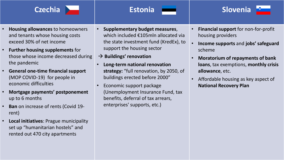



- **Housing allowances** to homeowners and tenants whose housing costs exceed 30% of net income
- **Further housing supplements** for those whose income decreased during the pandemic
- **General one-time financial support** (MOP COVID-19) for people in economic difficulties
- **Mortgage payments' postponement**  up to 6 months
- **Ban** on increase of rents (Covid 19 rent)
- **Local initiatives**: Prague municipality set up "humanitarian hostels" and rented out 470 city apartments
- **Supplementary budget measures**, which included €105mln allocated via the state investment fund (KredEx), to support the housing sector
- → **Buildings' renovation**
- **Long-term national renovation strategy:** "full renovation, by 2050, of buildings erected before 2000"
- Economic support package (Unemployment Insurance Fund, tax benefits, deferral of tax arrears, enterprises' supports, etc.)
- **Financial support** for non-for-profit housing providers
- **Income supports** and **jobs' safeguard** scheme
- **Moratorium of repayments of bank loans**, tax exemptions, **monthly crisis allowance**, etc.
- Affordable housing as key aspect of **National Recovery Plan**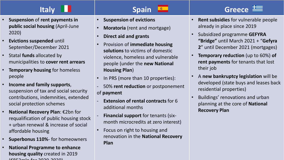- **Suspension of rent payments in Suspens<br><b>public social housing** (April-June Suppersection • **Suspension** of **rent payments in**  2020)
- **Evictions suspended** until September/December 2021
- Statal **funds** allocated by municipalities to **cover rent arrears**
- **Temporary housing** for homeless people
- **Income and family supports**, suspension of tax and social security contributions, indemnities, extended social protection schemes
- **National Recovery Plan**: €2bn for requalification of public housing stock + urban renewal & increase of social affordable housing
- **Superbonus 110%** for homeowners
- **National Programme to enhance housing quality** created in 2019  $[COMS<sub>1</sub>, 1<sub>2</sub>, 2<sub>0</sub>, 2<sub>0</sub>]$

## **Italy Spain Greece**

- **Suspension of evictions**
- **Moratoria** (rent and mortgage)
- **Direct aid and grants**
- **Cated by Estations** to victims of domestic values • Provision of **immediate housing solutions** to victims of domestic violence, homeless and vulnerable people (under the **new National Housing Plan**)
	- In PRS (more than 10 properties):
	- 50% **rent reduction** or postponement of **payment**
	- **Extension of rental contracts for 6** additional months
	- **Financial support** for tenants (sixmonth microcredits at zero interest)
	- Focus on right to housing and renovation in the **National Recovery Plan**

## • **Rent subsidies** for vulnerable people already in place since 2019

- Subsidized programme **GEFYRA "Bridge"** until March 2021 + "**Gefyra 2**" until December 2021 (mortgages)
- **Temporary reduction** (up to 60%) **of rent payments** for tenants that lost their job
- A **new bankruptcy legislation** will be developed (state buys and leases back residential properties)
- Buildings' renovations and urban planning at the core of **National Recovery Plan**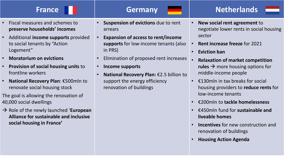- Fiscal measures and schemes to **preserve households' incomes**
- Additional **income supports** provided to social tenants by "Action Logement"
- **Moratorium on evictions**
- **Provision of social housing units** to frontline workers
- **National Recovery Plan**: €500mln to renovate social housing stock

The goal is allowing the renovation of 40,000 social dwellings

→ Role of the newly launched '**European Alliance for sustainable and inclusive social housing in France'**

- measures and schemes to **France Suspension of evictions** due to rent<br>
Figure households' incomes<br>
The arrears arrears
	- **Expansion of access to rent/income supports** for low-income tenants (also in PRS)
	- **Czechia Estonia Slovenia** • Elimination of proposed rent increases
		- **Income supports**
		- **National Recovery Plan:** €2.5 billion to support the energy efficiency renovation of buildings
- **France <b>Germany Netherlands** 
	- **New social rent agreement** to negotiate lower rents in social housing sector
	- **Rent increase freeze** for 2021
	- **Eviction ban**
	- **Relaxation of market competition**  rules  $\rightarrow$  more housing options for middle-income people
	- $\epsilon$ 130mln in tax breaks for social housing providers to **reduce rents** for low-income tenants
	- €200mln to **tackle homelessness**
	- €450mln fund for **sustainable and liveable homes**
	- **Incentives** for new construction and renovation of buildings
	- **Housing Action Agenda**